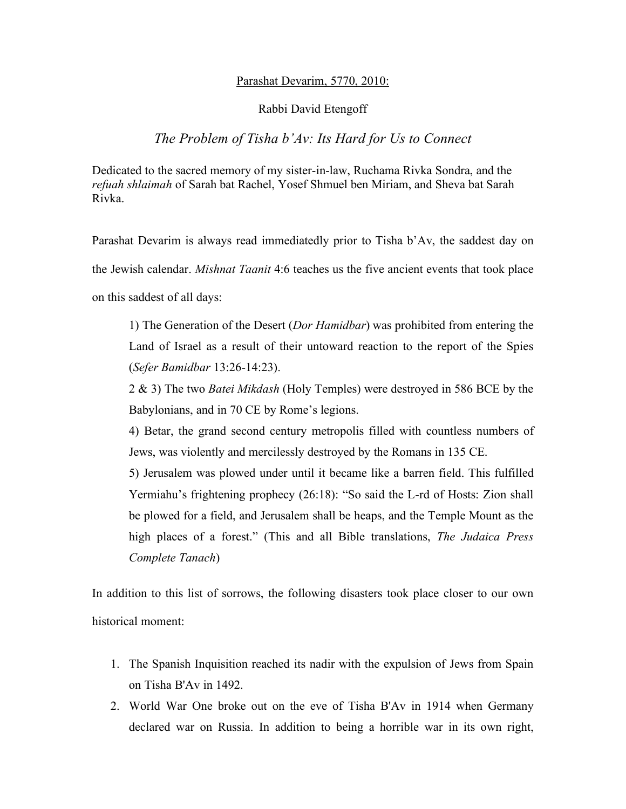# Parashat Devarim, 5770, 2010:

# Rabbi David Etengoff

# *The Problem of Tisha b'Av: Its Hard for Us to Connect*

Dedicated to the sacred memory of my sister-in-law, Ruchama Rivka Sondra, and the *refuah shlaimah* of Sarah bat Rachel, Yosef Shmuel ben Miriam, and Sheva bat Sarah Rivka.

Parashat Devarim is always read immediatedly prior to Tisha b'Av, the saddest day on the Jewish calendar. *Mishnat Taanit* 4:6 teaches us the five ancient events that took place on this saddest of all days:

1) The Generation of the Desert (*Dor Hamidbar*) was prohibited from entering the Land of Israel as a result of their untoward reaction to the report of the Spies (*Sefer Bamidbar* 13:26-14:23).

2 & 3) The two *Batei Mikdash* (Holy Temples) were destroyed in 586 BCE by the Babylonians, and in 70 CE by Rome's legions.

4) Betar, the grand second century metropolis filled with countless numbers of Jews, was violently and mercilessly destroyed by the Romans in 135 CE.

5) Jerusalem was plowed under until it became like a barren field. This fulfilled Yermiahu's frightening prophecy (26:18): "So said the L-rd of Hosts: Zion shall be plowed for a field, and Jerusalem shall be heaps, and the Temple Mount as the high places of a forest." (This and all Bible translations, *The Judaica Press Complete Tanach*)

In addition to this list of sorrows, the following disasters took place closer to our own historical moment:

- 1. The Spanish Inquisition reached its nadir with the expulsion of Jews from Spain on Tisha B'Av in 1492.
- 2. World War One broke out on the eve of Tisha B'Av in 1914 when Germany declared war on Russia. In addition to being a horrible war in its own right,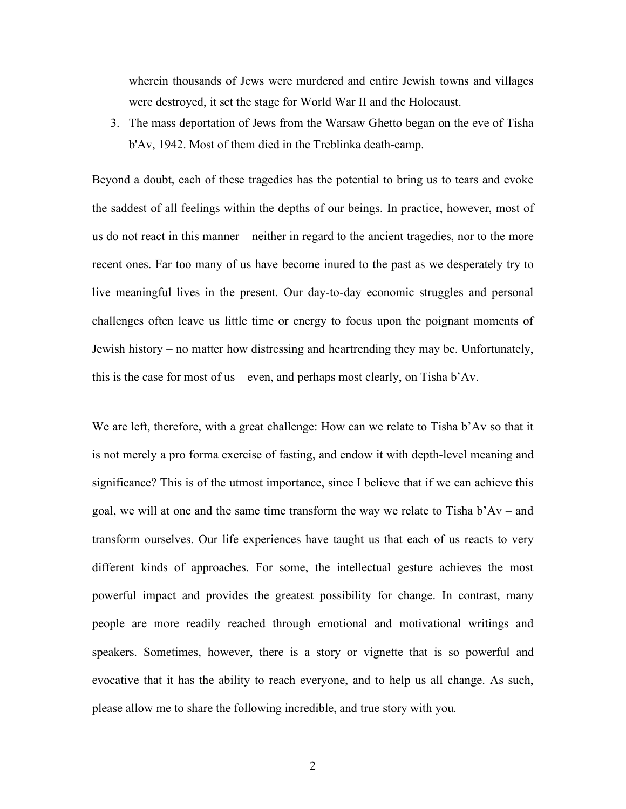wherein thousands of Jews were murdered and entire Jewish towns and villages were destroyed, it set the stage for World War II and the Holocaust.

3. The mass deportation of Jews from the Warsaw Ghetto began on the eve of Tisha b'Av, 1942. Most of them died in the Treblinka death-camp.

Beyond a doubt, each of these tragedies has the potential to bring us to tears and evoke the saddest of all feelings within the depths of our beings. In practice, however, most of us do not react in this manner – neither in regard to the ancient tragedies, nor to the more recent ones. Far too many of us have become inured to the past as we desperately try to live meaningful lives in the present. Our day-to-day economic struggles and personal challenges often leave us little time or energy to focus upon the poignant moments of Jewish history – no matter how distressing and heartrending they may be. Unfortunately, this is the case for most of us – even, and perhaps most clearly, on Tisha b'Av.

We are left, therefore, with a great challenge: How can we relate to Tisha b'Av so that it is not merely a pro forma exercise of fasting, and endow it with depth-level meaning and significance? This is of the utmost importance, since I believe that if we can achieve this goal, we will at one and the same time transform the way we relate to Tisha b'Av – and transform ourselves. Our life experiences have taught us that each of us reacts to very different kinds of approaches. For some, the intellectual gesture achieves the most powerful impact and provides the greatest possibility for change. In contrast, many people are more readily reached through emotional and motivational writings and speakers. Sometimes, however, there is a story or vignette that is so powerful and evocative that it has the ability to reach everyone, and to help us all change. As such, please allow me to share the following incredible, and true story with you.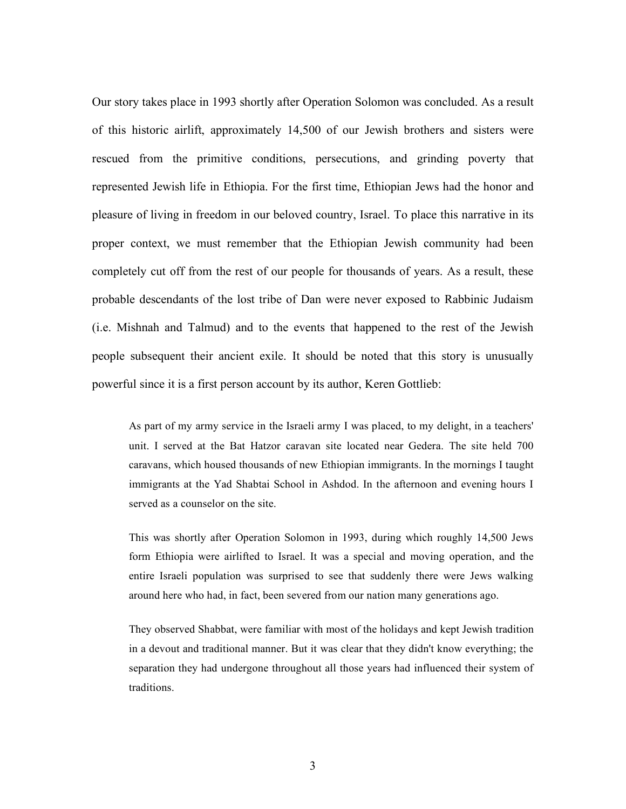Our story takes place in 1993 shortly after Operation Solomon was concluded. As a result of this historic airlift, approximately 14,500 of our Jewish brothers and sisters were rescued from the primitive conditions, persecutions, and grinding poverty that represented Jewish life in Ethiopia. For the first time, Ethiopian Jews had the honor and pleasure of living in freedom in our beloved country, Israel. To place this narrative in its proper context, we must remember that the Ethiopian Jewish community had been completely cut off from the rest of our people for thousands of years. As a result, these probable descendants of the lost tribe of Dan were never exposed to Rabbinic Judaism (i.e. Mishnah and Talmud) and to the events that happened to the rest of the Jewish people subsequent their ancient exile. It should be noted that this story is unusually powerful since it is a first person account by its author, Keren Gottlieb:

As part of my army service in the Israeli army I was placed, to my delight, in a teachers' unit. I served at the Bat Hatzor caravan site located near Gedera. The site held 700 caravans, which housed thousands of new Ethiopian immigrants. In the mornings I taught immigrants at the Yad Shabtai School in Ashdod. In the afternoon and evening hours I served as a counselor on the site.

This was shortly after Operation Solomon in 1993, during which roughly 14,500 Jews form Ethiopia were airlifted to Israel. It was a special and moving operation, and the entire Israeli population was surprised to see that suddenly there were Jews walking around here who had, in fact, been severed from our nation many generations ago.

They observed Shabbat, were familiar with most of the holidays and kept Jewish tradition in a devout and traditional manner. But it was clear that they didn't know everything; the separation they had undergone throughout all those years had influenced their system of traditions.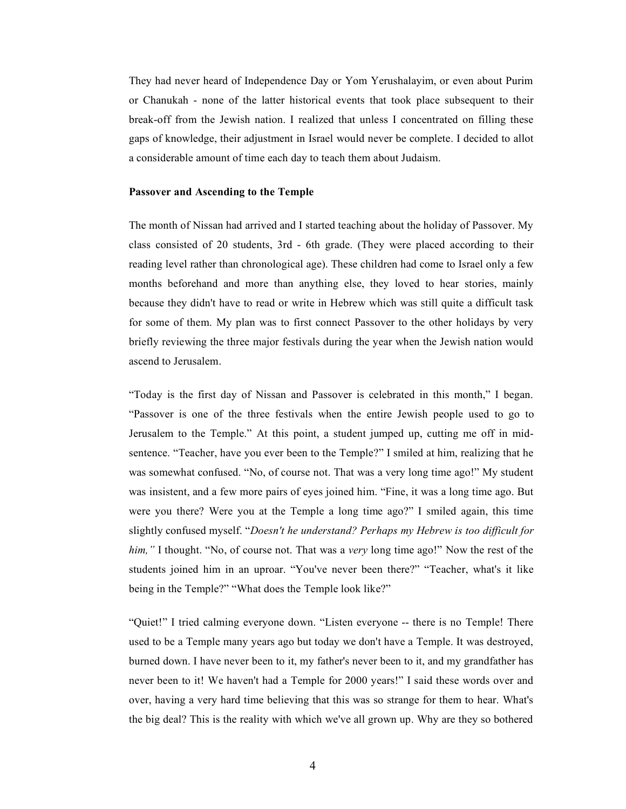They had never heard of Independence Day or Yom Yerushalayim, or even about Purim or Chanukah - none of the latter historical events that took place subsequent to their break-off from the Jewish nation. I realized that unless I concentrated on filling these gaps of knowledge, their adjustment in Israel would never be complete. I decided to allot a considerable amount of time each day to teach them about Judaism.

### **Passover and Ascending to the Temple**

The month of Nissan had arrived and I started teaching about the holiday of Passover. My class consisted of 20 students, 3rd - 6th grade. (They were placed according to their reading level rather than chronological age). These children had come to Israel only a few months beforehand and more than anything else, they loved to hear stories, mainly because they didn't have to read or write in Hebrew which was still quite a difficult task for some of them. My plan was to first connect Passover to the other holidays by very briefly reviewing the three major festivals during the year when the Jewish nation would ascend to Jerusalem.

"Today is the first day of Nissan and Passover is celebrated in this month," I began. "Passover is one of the three festivals when the entire Jewish people used to go to Jerusalem to the Temple." At this point, a student jumped up, cutting me off in midsentence. "Teacher, have you ever been to the Temple?" I smiled at him, realizing that he was somewhat confused. "No, of course not. That was a very long time ago!" My student was insistent, and a few more pairs of eyes joined him. "Fine, it was a long time ago. But were you there? Were you at the Temple a long time ago?" I smiled again, this time slightly confused myself. "*Doesn't he understand? Perhaps my Hebrew is too difficult for him,"* I thought. "No, of course not. That was a *very* long time ago!" Now the rest of the students joined him in an uproar. "You've never been there?" "Teacher, what's it like being in the Temple?" "What does the Temple look like?"

"Quiet!" I tried calming everyone down. "Listen everyone -- there is no Temple! There used to be a Temple many years ago but today we don't have a Temple. It was destroyed, burned down. I have never been to it, my father's never been to it, and my grandfather has never been to it! We haven't had a Temple for 2000 years!" I said these words over and over, having a very hard time believing that this was so strange for them to hear. What's the big deal? This is the reality with which we've all grown up. Why are they so bothered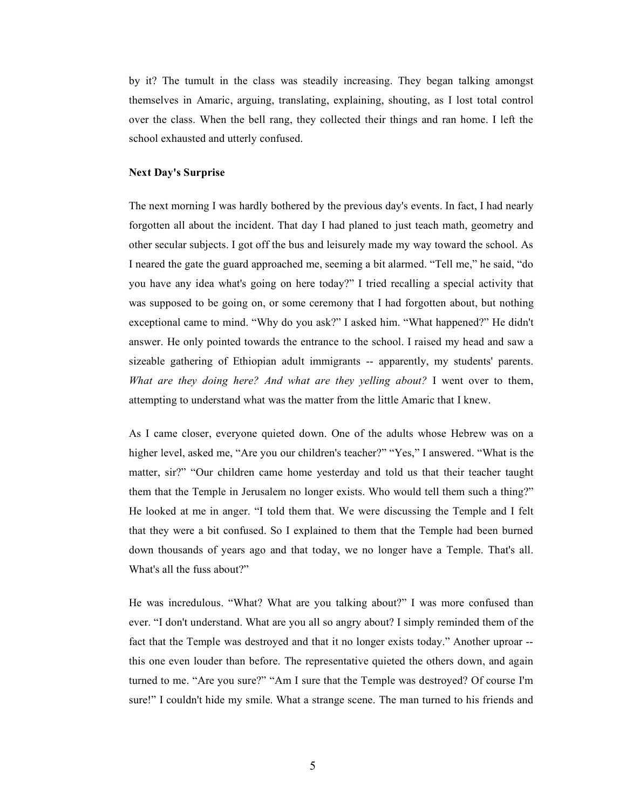by it? The tumult in the class was steadily increasing. They began talking amongst themselves in Amaric, arguing, translating, explaining, shouting, as I lost total control over the class. When the bell rang, they collected their things and ran home. I left the school exhausted and utterly confused.

#### **Next Day's Surprise**

The next morning I was hardly bothered by the previous day's events. In fact, I had nearly forgotten all about the incident. That day I had planed to just teach math, geometry and other secular subjects. I got off the bus and leisurely made my way toward the school. As I neared the gate the guard approached me, seeming a bit alarmed. "Tell me," he said, "do you have any idea what's going on here today?" I tried recalling a special activity that was supposed to be going on, or some ceremony that I had forgotten about, but nothing exceptional came to mind. "Why do you ask?" I asked him. "What happened?" He didn't answer. He only pointed towards the entrance to the school. I raised my head and saw a sizeable gathering of Ethiopian adult immigrants -- apparently, my students' parents. *What are they doing here? And what are they yelling about?* I went over to them, attempting to understand what was the matter from the little Amaric that I knew.

As I came closer, everyone quieted down. One of the adults whose Hebrew was on a higher level, asked me, "Are you our children's teacher?" "Yes," I answered. "What is the matter, sir?" "Our children came home yesterday and told us that their teacher taught them that the Temple in Jerusalem no longer exists. Who would tell them such a thing?" He looked at me in anger. "I told them that. We were discussing the Temple and I felt that they were a bit confused. So I explained to them that the Temple had been burned down thousands of years ago and that today, we no longer have a Temple. That's all. What's all the fuss about?"

He was incredulous. "What? What are you talking about?" I was more confused than ever. "I don't understand. What are you all so angry about? I simply reminded them of the fact that the Temple was destroyed and that it no longer exists today." Another uproar - this one even louder than before. The representative quieted the others down, and again turned to me. "Are you sure?" "Am I sure that the Temple was destroyed? Of course I'm sure!" I couldn't hide my smile. What a strange scene. The man turned to his friends and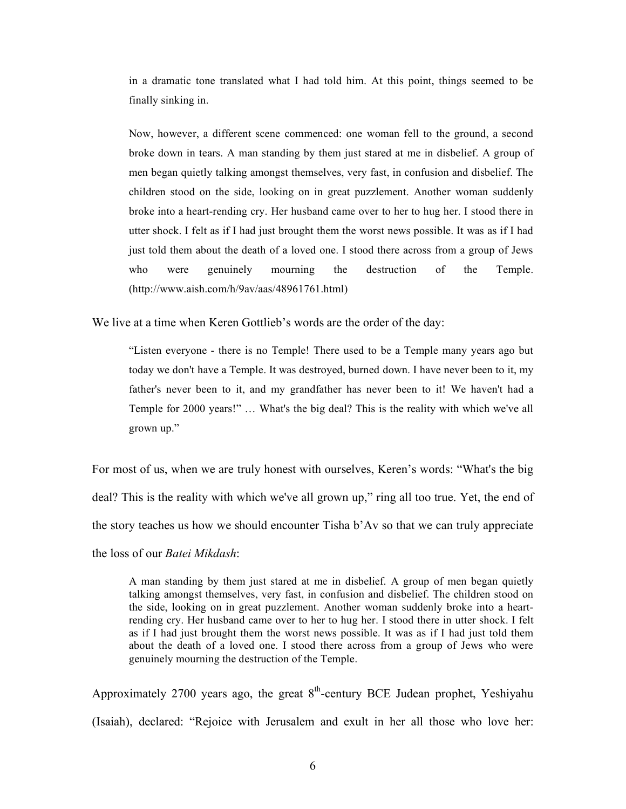in a dramatic tone translated what I had told him. At this point, things seemed to be finally sinking in.

Now, however, a different scene commenced: one woman fell to the ground, a second broke down in tears. A man standing by them just stared at me in disbelief. A group of men began quietly talking amongst themselves, very fast, in confusion and disbelief. The children stood on the side, looking on in great puzzlement. Another woman suddenly broke into a heart-rending cry. Her husband came over to her to hug her. I stood there in utter shock. I felt as if I had just brought them the worst news possible. It was as if I had just told them about the death of a loved one. I stood there across from a group of Jews who were genuinely mourning the destruction of the Temple. (http://www.aish.com/h/9av/aas/48961761.html)

We live at a time when Keren Gottlieb's words are the order of the day:

"Listen everyone - there is no Temple! There used to be a Temple many years ago but today we don't have a Temple. It was destroyed, burned down. I have never been to it, my father's never been to it, and my grandfather has never been to it! We haven't had a Temple for 2000 years!" … What's the big deal? This is the reality with which we've all grown up."

For most of us, when we are truly honest with ourselves, Keren's words: "What's the big deal? This is the reality with which we've all grown up," ring all too true. Yet, the end of the story teaches us how we should encounter Tisha b'Av so that we can truly appreciate the loss of our *Batei Mikdash*:

A man standing by them just stared at me in disbelief. A group of men began quietly talking amongst themselves, very fast, in confusion and disbelief. The children stood on the side, looking on in great puzzlement. Another woman suddenly broke into a heartrending cry. Her husband came over to her to hug her. I stood there in utter shock. I felt as if I had just brought them the worst news possible. It was as if I had just told them about the death of a loved one. I stood there across from a group of Jews who were genuinely mourning the destruction of the Temple.

Approximately 2700 years ago, the great  $8<sup>th</sup>$ -century BCE Judean prophet, Yeshiyahu (Isaiah), declared: "Rejoice with Jerusalem and exult in her all those who love her: